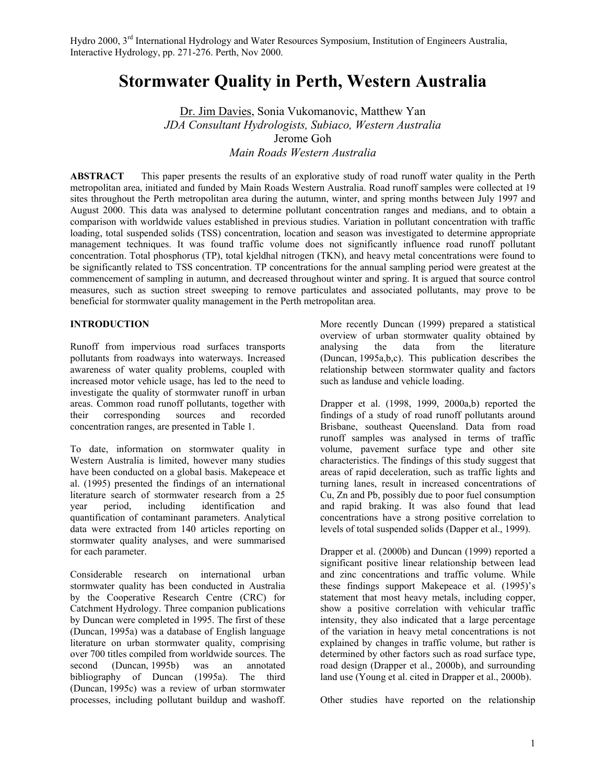# **Stormwater Quality in Perth, Western Australia**

Dr. Jim Davies, Sonia Vukomanovic, Matthew Yan *JDA Consultant Hydrologists, Subiaco, Western Australia* Jerome Goh *Main Roads Western Australia*

**ABSTRACT** This paper presents the results of an explorative study of road runoff water quality in the Perth metropolitan area, initiated and funded by Main Roads Western Australia. Road runoff samples were collected at 19 sites throughout the Perth metropolitan area during the autumn, winter, and spring months between July 1997 and August 2000. This data was analysed to determine pollutant concentration ranges and medians, and to obtain a comparison with worldwide values established in previous studies. Variation in pollutant concentration with traffic loading, total suspended solids (TSS) concentration, location and season was investigated to determine appropriate management techniques. It was found traffic volume does not significantly influence road runoff pollutant concentration. Total phosphorus (TP), total kjeldhal nitrogen (TKN), and heavy metal concentrations were found to be significantly related to TSS concentration. TP concentrations for the annual sampling period were greatest at the commencement of sampling in autumn, and decreased throughout winter and spring. It is argued that source control measures, such as suction street sweeping to remove particulates and associated pollutants, may prove to be beneficial for stormwater quality management in the Perth metropolitan area.

# **INTRODUCTION**

Runoff from impervious road surfaces transports pollutants from roadways into waterways. Increased awareness of water quality problems, coupled with increased motor vehicle usage, has led to the need to investigate the quality of stormwater runoff in urban areas. Common road runoff pollutants, together with their corresponding sources and recorded concentration ranges, are presented in Table 1.

To date, information on stormwater quality in Western Australia is limited, however many studies have been conducted on a global basis. Makepeace et al. (1995) presented the findings of an international literature search of stormwater research from a 25 year period, including identification and quantification of contaminant parameters. Analytical data were extracted from 140 articles reporting on stormwater quality analyses, and were summarised for each parameter.

Considerable research on international urban stormwater quality has been conducted in Australia by the Cooperative Research Centre (CRC) for Catchment Hydrology. Three companion publications by Duncan were completed in 1995. The first of these (Duncan, 1995a) was a database of English language literature on urban stormwater quality, comprising over 700 titles compiled from worldwide sources. The<br>second (Duncan, 1995b) was an annotated second (Duncan, 1995b) was an annotated bibliography of Duncan (1995a). The third (Duncan, 1995c) was a review of urban stormwater processes, including pollutant buildup and washoff.

More recently Duncan (1999) prepared a statistical overview of urban stormwater quality obtained by analysing the data from the literature (Duncan, 1995a,b,c). This publication describes the relationship between stormwater quality and factors such as landuse and vehicle loading.

Drapper et al. (1998, 1999, 2000a,b) reported the findings of a study of road runoff pollutants around Brisbane, southeast Queensland. Data from road runoff samples was analysed in terms of traffic volume, pavement surface type and other site characteristics. The findings of this study suggest that areas of rapid deceleration, such as traffic lights and turning lanes, result in increased concentrations of Cu, Zn and Pb, possibly due to poor fuel consumption and rapid braking. It was also found that lead concentrations have a strong positive correlation to levels of total suspended solids (Dapper et al., 1999).

Drapper et al. (2000b) and Duncan (1999) reported a significant positive linear relationship between lead and zinc concentrations and traffic volume. While these findings support Makepeace et al. (1995)'s statement that most heavy metals, including copper, show a positive correlation with vehicular traffic intensity, they also indicated that a large percentage of the variation in heavy metal concentrations is not explained by changes in traffic volume, but rather is determined by other factors such as road surface type, road design (Drapper et al., 2000b), and surrounding land use (Young et al. cited in Drapper et al., 2000b).

Other studies have reported on the relationship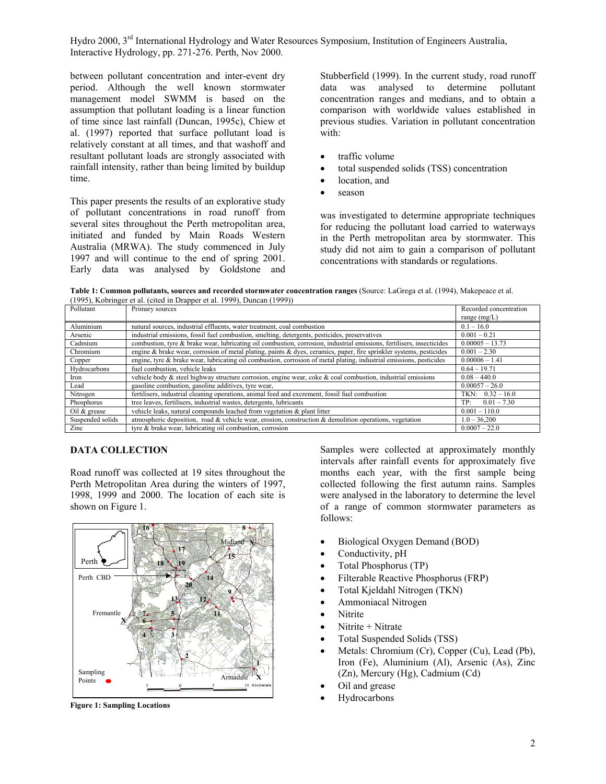between pollutant concentration and inter-event dry period. Although the well known stormwater management model SWMM is based on the assumption that pollutant loading is a linear function of time since last rainfall (Duncan, 1995c), Chiew et al. (1997) reported that surface pollutant load is relatively constant at all times, and that washoff and resultant pollutant loads are strongly associated with rainfall intensity, rather than being limited by buildup time.

This paper presents the results of an explorative study of pollutant concentrations in road runoff from several sites throughout the Perth metropolitan area, initiated and funded by Main Roads Western Australia (MRWA). The study commenced in July 1997 and will continue to the end of spring 2001. Early data was analysed by Goldstone and

Stubberfield (1999). In the current study, road runoff data was analysed to determine pollutant concentration ranges and medians, and to obtain a comparison with worldwide values established in previous studies. Variation in pollutant concentration with:

- traffic volume
- total suspended solids (TSS) concentration
- location, and
- season

was investigated to determine appropriate techniques for reducing the pollutant load carried to waterways in the Perth metropolitan area by stormwater. This study did not aim to gain a comparison of pollutant concentrations with standards or regulations.

**Table 1: Common pollutants, sources and recorded stormwater concentration ranges** (Source: LaGrega et al. (1994), Makepeace et al. (1995), Kobringer et al. (cited in Drapper et al. 1999), Duncan (1999))

| Pollutant        | Primary sources                                                                                                        | Recorded concentration |
|------------------|------------------------------------------------------------------------------------------------------------------------|------------------------|
|                  |                                                                                                                        | range $(mg/L)$         |
| Aluminium        | natural sources, industrial effluents, water treatment, coal combustion                                                | $0.1 - 16.0$           |
| Arsenic          | industrial emissions, fossil fuel combustion, smelting, detergents, pesticides, preservatives                          | $0.001 - 0.21$         |
| Cadmium          | combustion, tyre & brake wear, lubricating oil combustion, corrosion, industrial emissions, fertilisers, insecticides  | $0.00005 - 13.73$      |
| Chromium         | engine & brake wear, corrosion of metal plating, paints & dyes, ceramics, paper, fire sprinkler systems, pesticides    | $0.001 - 2.30$         |
| Copper           | engine, tyre $\&$ brake wear, lubricating oil combustion, corrosion of metal plating, industrial emissions, pesticides | $0.00006 - 1.41$       |
| Hydrocarbons     | fuel combustion, vehicle leaks                                                                                         | $0.64 - 19.71$         |
| Iron             | vehicle body $\&$ steel highway structure corrosion, engine wear, coke $\&$ coal combustion, industrial emissions      | $0.08 - 440.0$         |
| Lead             | gasoline combustion, gasoline additives, tyre wear,                                                                    | $0.00057 - 26.0$       |
| Nitrogen         | fertilisers, industrial cleaning operations, animal feed and excrement, fossil fuel combustion                         | TKN: $0.32 - 16.0$     |
| Phosphorus       | tree leaves, fertilisers, industrial wastes, detergents, lubricants                                                    | TP:<br>$0.01 - 7.30$   |
| Oil $&$ grease   | vehicle leaks, natural compounds leached from vegetation & plant litter                                                | $0.001 - 110.0$        |
| Suspended solids | atmospheric deposition, road $\&$ vehicle wear, erosion, construction $\&$ demolition operations, vegetation           | $1.0 - 36,200$         |
| Zinc             | tyre & brake wear, lubricating oil combustion, corrosion                                                               | $0.0007 - 22.0$        |

# **DATA COLLECTION**

Road runoff was collected at 19 sites throughout the Perth Metropolitan Area during the winters of 1997, 1998, 1999 and 2000. The location of each site is shown on Figure 1.



**Figure 1: Sampling Locations**

Samples were collected at approximately monthly intervals after rainfall events for approximately five months each year, with the first sample being collected following the first autumn rains. Samples were analysed in the laboratory to determine the level of a range of common stormwater parameters as follows:

- Biological Oxygen Demand (BOD)
- Conductivity, pH
- Total Phosphorus (TP)
- Filterable Reactive Phosphorus (FRP)
- Total Kjeldahl Nitrogen (TKN)
- Ammoniacal Nitrogen
- Nitrite
- Nitrite + Nitrate
- Total Suspended Solids (TSS)
- Metals: Chromium (Cr), Copper (Cu), Lead (Pb), Iron (Fe), Aluminium (Al), Arsenic (As), Zinc (Zn), Mercury (Hg), Cadmium (Cd)
- Oil and grease
- Hydrocarbons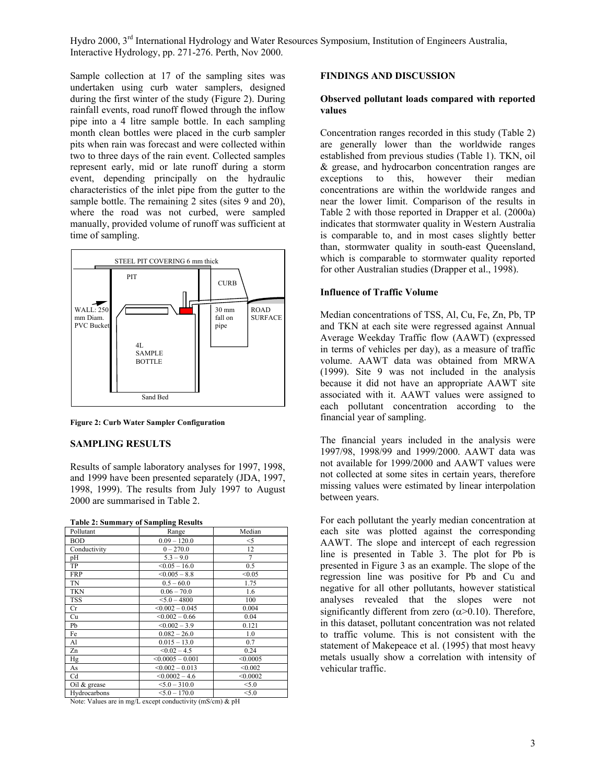Sample collection at 17 of the sampling sites was undertaken using curb water samplers, designed during the first winter of the study (Figure 2). During rainfall events, road runoff flowed through the inflow pipe into a 4 litre sample bottle. In each sampling month clean bottles were placed in the curb sampler pits when rain was forecast and were collected within two to three days of the rain event. Collected samples represent early, mid or late runoff during a storm event, depending principally on the hydraulic characteristics of the inlet pipe from the gutter to the sample bottle. The remaining 2 sites (sites 9 and 20), where the road was not curbed, were sampled manually, provided volume of runoff was sufficient at time of sampling.



**Figure 2: Curb Water Sampler Configuration**

#### **SAMPLING RESULTS**

Results of sample laboratory analyses for 1997, 1998, and 1999 have been presented separately (JDA, 1997, 1998, 1999). The results from July 1997 to August 2000 are summarised in Table 2.

| Table 2. Summary of Sampling Results |                      |          |  |  |  |  |
|--------------------------------------|----------------------|----------|--|--|--|--|
| Pollutant                            | Range                | Median   |  |  |  |  |
| <b>BOD</b>                           | $0.09 - 120.0$       | $<$ 5    |  |  |  |  |
| Conductivity                         | $0 - 270.0$          | 12       |  |  |  |  |
| pН                                   | $5.3 - 9.0$          | 7        |  |  |  |  |
| TP                                   | $< 0.05 - 16.0$      | 0.5      |  |  |  |  |
| <b>FRP</b>                           | $< 0.005 - 8.8$      | < 0.05   |  |  |  |  |
| TN                                   | $0.5 - 60.0$         | 1.75     |  |  |  |  |
| <b>TKN</b>                           | $0.06 - 70.0$        | 1.6      |  |  |  |  |
| <b>TSS</b>                           | $< 5.0 - 4800$       | 100      |  |  |  |  |
| Cr                                   | $< 0.002 - 0.045$    | 0.004    |  |  |  |  |
| Cu                                   | $\leq 0.002 - 0.66$  | 0.04     |  |  |  |  |
| Pb                                   | $< 0.002 - 3.9$      | 0.121    |  |  |  |  |
| Fe                                   | $0.082 - 26.0$       | 1.0      |  |  |  |  |
| Al                                   | $0.015 - 13.0$       | 0.7      |  |  |  |  |
| Zn                                   | $< 0.02 - 4.5$       | 0.24     |  |  |  |  |
| Hg                                   | $< 0.0005 - 0.001$   | < 0.0005 |  |  |  |  |
| As                                   | $\leq 0.002 - 0.013$ | < 0.002  |  |  |  |  |
| Cd                                   | $< 0.0002 - 4.6$     | < 0.0002 |  |  |  |  |
| Oil & grease                         | $5.0 - 310.0$        | < 5.0    |  |  |  |  |
| Hydrocarbons                         | $5.0 - 170.0$        | < 5.0    |  |  |  |  |

**Table 2: Summary of Sampling Results** 

Note: Values are in mg/L except conductivity (mS/cm) & pH

#### **FINDINGS AND DISCUSSION**

#### **Observed pollutant loads compared with reported values**

Concentration ranges recorded in this study (Table 2) are generally lower than the worldwide ranges established from previous studies (Table 1). TKN, oil & grease, and hydrocarbon concentration ranges are exceptions to this, however their median concentrations are within the worldwide ranges and near the lower limit. Comparison of the results in Table 2 with those reported in Drapper et al. (2000a) indicates that stormwater quality in Western Australia is comparable to, and in most cases slightly better than, stormwater quality in south-east Queensland, which is comparable to stormwater quality reported for other Australian studies (Drapper et al., 1998).

#### **Influence of Traffic Volume**

Median concentrations of TSS, Al, Cu, Fe, Zn, Pb, TP and TKN at each site were regressed against Annual Average Weekday Traffic flow (AAWT) (expressed in terms of vehicles per day), as a measure of traffic volume. AAWT data was obtained from MRWA (1999). Site 9 was not included in the analysis because it did not have an appropriate AAWT site associated with it. AAWT values were assigned to each pollutant concentration according to the financial year of sampling.

The financial years included in the analysis were 1997/98, 1998/99 and 1999/2000. AAWT data was not available for 1999/2000 and AAWT values were not collected at some sites in certain years, therefore missing values were estimated by linear interpolation between years.

For each pollutant the yearly median concentration at each site was plotted against the corresponding AAWT. The slope and intercept of each regression line is presented in Table 3. The plot for Pb is presented in Figure 3 as an example. The slope of the regression line was positive for Pb and Cu and negative for all other pollutants, however statistical analyses revealed that the slopes were not significantly different from zero  $(\alpha > 0.10)$ . Therefore, in this dataset, pollutant concentration was not related to traffic volume. This is not consistent with the statement of Makepeace et al. (1995) that most heavy metals usually show a correlation with intensity of vehicular traffic.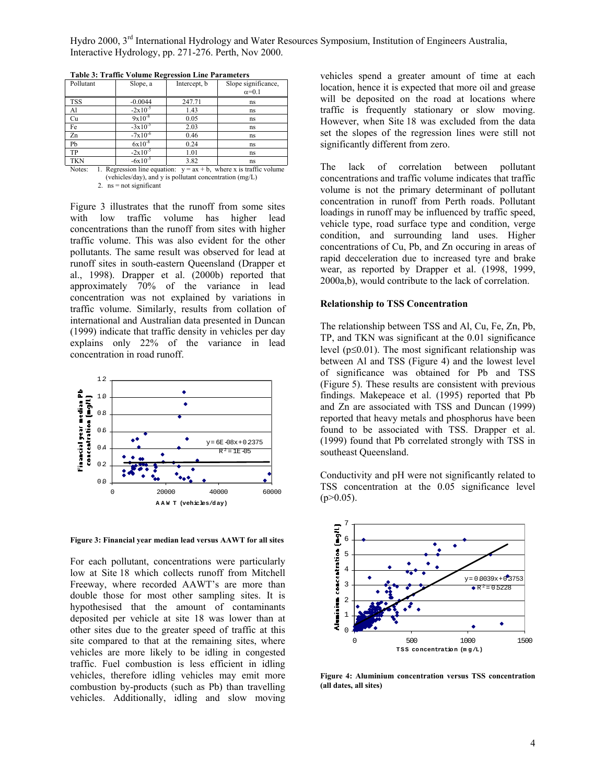| Pollutant  | Slope, a                | Intercept, b | Slope significance, |
|------------|-------------------------|--------------|---------------------|
|            |                         |              | $\alpha=0.1$        |
| <b>TSS</b> | $-0.0044$               | 247.71       | ns                  |
| Al         | $-2x10^{-5}$            | 1.43         | ns                  |
| Cu         | $9x10^{-8}$             | 0.05         | ns                  |
| Fe         | $-3x10^{-5}$            | 2.03         | ns                  |
| Zn         | $-7x\overline{10^{-6}}$ | 0.46         | ns                  |
| Pb         | $6x10^{-8}$             | 0.24         | ns                  |
| TP         | $-2x10^{-5}$            | 1.01         | ns                  |
| <b>TKN</b> | $-6x10^{-5}$            | 3.82         | ns                  |

**Table 3: Traffic Volume Regression Line Parameters**

Notes: 1. Regression line equation:  $y = ax + b$ , where x is traffic volume (vehicles/day), and y is pollutant concentration (mg/L) 2.  $ns = not significant$ 

Figure 3 illustrates that the runoff from some sites with low traffic volume has higher lead concentrations than the runoff from sites with higher traffic volume. This was also evident for the other pollutants. The same result was observed for lead at runoff sites in south-eastern Queensland (Drapper et al., 1998). Drapper et al. (2000b) reported that approximately 70% of the variance in lead concentration was not explained by variations in traffic volume. Similarly, results from collation of international and Australian data presented in Duncan (1999) indicate that traffic density in vehicles per day explains only 22% of the variance in lead concentration in road runoff.



**Figure 3: Financial year median lead versus AAWT for all sites**

For each pollutant, concentrations were particularly low at Site 18 which collects runoff from Mitchell Freeway, where recorded AAWT's are more than double those for most other sampling sites. It is hypothesised that the amount of contaminants deposited per vehicle at site 18 was lower than at other sites due to the greater speed of traffic at this site compared to that at the remaining sites, where vehicles are more likely to be idling in congested traffic. Fuel combustion is less efficient in idling vehicles, therefore idling vehicles may emit more combustion by-products (such as Pb) than travelling vehicles. Additionally, idling and slow moving

vehicles spend a greater amount of time at each location, hence it is expected that more oil and grease will be deposited on the road at locations where traffic is frequently stationary or slow moving. However, when Site 18 was excluded from the data set the slopes of the regression lines were still not significantly different from zero.

The lack of correlation between pollutant concentrations and traffic volume indicates that traffic volume is not the primary determinant of pollutant concentration in runoff from Perth roads. Pollutant loadings in runoff may be influenced by traffic speed, vehicle type, road surface type and condition, verge condition, and surrounding land uses. Higher concentrations of Cu, Pb, and Zn occuring in areas of rapid decceleration due to increased tyre and brake wear, as reported by Drapper et al. (1998, 1999, 2000a,b), would contribute to the lack of correlation.

#### **Relationship to TSS Concentration**

The relationship between TSS and Al, Cu, Fe, Zn, Pb, TP, and TKN was significant at the 0.01 significance level ( $p \le 0.01$ ). The most significant relationship was between Al and TSS (Figure 4) and the lowest level of significance was obtained for Pb and TSS (Figure 5). These results are consistent with previous findings. Makepeace et al. (1995) reported that Pb and Zn are associated with TSS and Duncan (1999) reported that heavy metals and phosphorus have been found to be associated with TSS. Drapper et al. (1999) found that Pb correlated strongly with TSS in southeast Queensland.

Conductivity and pH were not significantly related to TSS concentration at the 0.05 significance level  $(p>0.05)$ .



**Figure 4: Aluminium concentration versus TSS concentration (all dates, all sites)**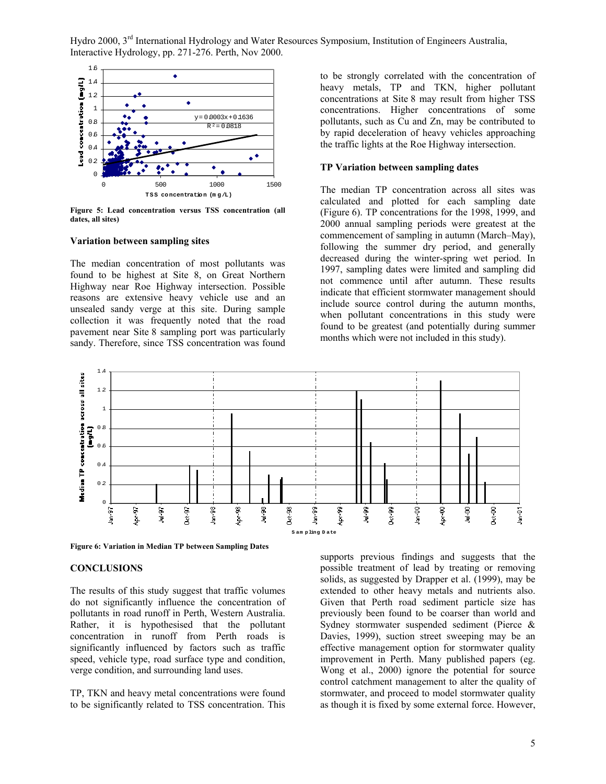

**Figure 5: Lead concentration versus TSS concentration (all dates, all sites)**

## **Variation between sampling sites**

The median concentration of most pollutants was found to be highest at Site 8, on Great Northern Highway near Roe Highway intersection. Possible reasons are extensive heavy vehicle use and an unsealed sandy verge at this site. During sample collection it was frequently noted that the road pavement near Site 8 sampling port was particularly sandy. Therefore, since TSS concentration was found

to be strongly correlated with the concentration of heavy metals, TP and TKN, higher pollutant concentrations at Site 8 may result from higher TSS concentrations. Higher concentrations of some pollutants, such as Cu and Zn, may be contributed to by rapid deceleration of heavy vehicles approaching the traffic lights at the Roe Highway intersection.

#### **TP Variation between sampling dates**

The median TP concentration across all sites was calculated and plotted for each sampling date (Figure 6). TP concentrations for the 1998, 1999, and 2000 annual sampling periods were greatest at the commencement of sampling in autumn (March–May), following the summer dry period, and generally decreased during the winter-spring wet period. In 1997, sampling dates were limited and sampling did not commence until after autumn. These results indicate that efficient stormwater management should include source control during the autumn months, when pollutant concentrations in this study were found to be greatest (and potentially during summer months which were not included in this study).



**Figure 6: Variation in Median TP between Sampling Dates**

#### **CONCLUSIONS**

The results of this study suggest that traffic volumes do not significantly influence the concentration of pollutants in road runoff in Perth, Western Australia. Rather, it is hypothesised that the pollutant concentration in runoff from Perth roads is significantly influenced by factors such as traffic speed, vehicle type, road surface type and condition, verge condition, and surrounding land uses.

TP, TKN and heavy metal concentrations were found to be significantly related to TSS concentration. This

supports previous findings and suggests that the possible treatment of lead by treating or removing solids, as suggested by Drapper et al. (1999), may be extended to other heavy metals and nutrients also. Given that Perth road sediment particle size has previously been found to be coarser than world and Sydney stormwater suspended sediment (Pierce & Davies, 1999), suction street sweeping may be an effective management option for stormwater quality improvement in Perth. Many published papers (eg. Wong et al., 2000) ignore the potential for source control catchment management to alter the quality of stormwater, and proceed to model stormwater quality as though it is fixed by some external force. However,